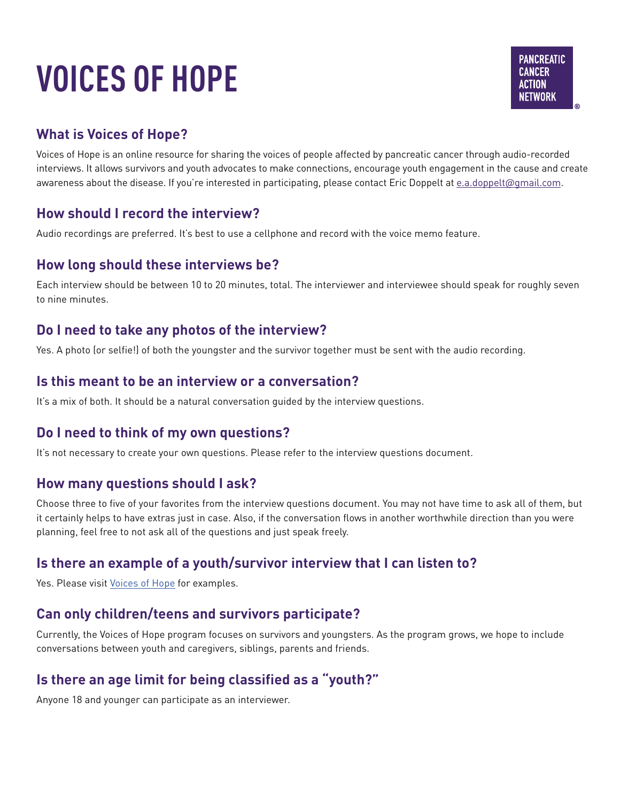# **VOICES OF HOPE**

ക

# **What is Voices of Hope?**

Voices of Hope is an online resource for sharing the voices of people affected by pancreatic cancer through audio-recorded interviews. It allows survivors and youth advocates to make connections, encourage youth engagement in the cause and create awareness about the disease. If you're interested in participating, please contact Eric Doppelt at [e.a.doppelt@gmail.com](http://e.a.doppelt@gmail.com).

# **How should I record the interview?**

Audio recordings are preferred. It's best to use a cellphone and record with the voice memo feature.

## **How long should these interviews be?**

Each interview should be between 10 to 20 minutes, total. The interviewer and interviewee should speak for roughly seven to nine minutes.

# **Do I need to take any photos of the interview?**

Yes. A photo (or selfie!) of both the youngster and the survivor together must be sent with the audio recording.

#### **Is this meant to be an interview or a conversation?**

It's a mix of both. It should be a natural conversation guided by the interview questions.

# **Do I need to think of my own questions?**

It's not necessary to create your own questions. Please refer to the interview questions document.

#### **How many questions should I ask?**

Choose three to five of your favorites from the interview questions document. You may not have time to ask all of them, but it certainly helps to have extras just in case. Also, if the conversation flows in another worthwhile direction than you were planning, feel free to not ask all of the questions and just speak freely.

# **Is there an example of a youth/survivor interview that I can listen to?**

Yes. Please visit [Voices of Hope](https://www.pancan.org/category/stories/voices-of-hope/) for examples.

# **Can only children/teens and survivors participate?**

Currently, the Voices of Hope program focuses on survivors and youngsters. As the program grows, we hope to include conversations between youth and caregivers, siblings, parents and friends.

# **Is there an age limit for being classified as a "youth?"**

Anyone 18 and younger can participate as an interviewer.